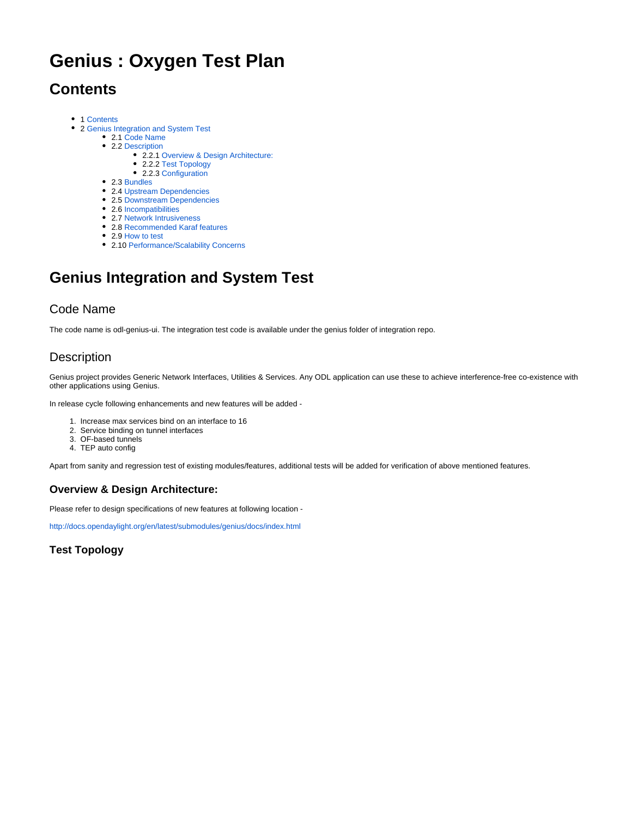# **Genius : Oxygen Test Plan**

## <span id="page-0-0"></span>**Contents**

- 1 [Contents](#page-0-0)
- 2 [Genius Integration and System Test](#page-0-1)
	- 2.1 [Code Name](#page-0-2)
	- 2.2 [Description](#page-0-3)
		- 2.2.1 [Overview & Design Architecture:](#page-0-4)
		- 2.2.2 [Test Topology](#page-0-5)
		- 2.2.3 [Configuration](#page-1-0)
	- 2.3 [Bundles](#page-1-1)
	- 2.4 [Upstream Dependencies](#page-1-2)
	- 2.5 [Downstream Dependencies](#page-1-3)
	- 2.6 [Incompatibilities](#page-1-4)
	- 2.7 [Network Intrusiveness](#page-1-5) 2.8 [Recommended Karaf features](#page-1-6)
	- 2.9 [How to test](#page-1-7)
	- 2.10 [Performance/Scalability Concerns](#page-4-0)

## <span id="page-0-1"></span>**Genius Integration and System Test**

#### <span id="page-0-2"></span>Code Name

The code name is odl-genius-ui. The integration test code is available under the genius folder of integration repo.

## <span id="page-0-3"></span>**Description**

Genius project provides Generic Network Interfaces, Utilities & Services. Any ODL application can use these to achieve interference-free co-existence with other applications using Genius.

In release cycle following enhancements and new features will be added -

- 1. Increase max services bind on an interface to 16
- 2. Service binding on tunnel interfaces
- 3. OF-based tunnels
- 4. TEP auto config

Apart from sanity and regression test of existing modules/features, additional tests will be added for verification of above mentioned features.

#### <span id="page-0-4"></span>**Overview & Design Architecture:**

Please refer to design specifications of new features at following location -

<http://docs.opendaylight.org/en/latest/submodules/genius/docs/index.html>

<span id="page-0-5"></span>**Test Topology**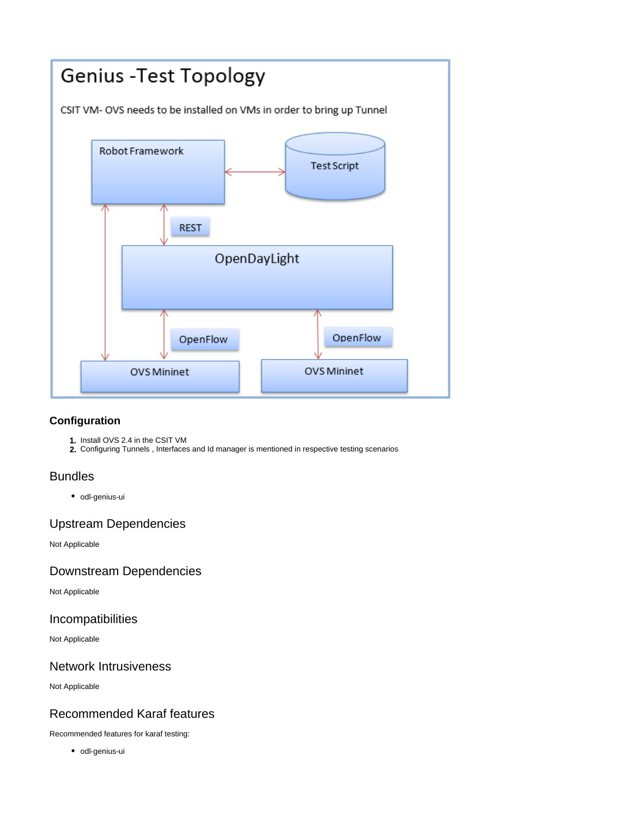

#### <span id="page-1-0"></span>**Configuration**

- 1. Install OVS 2.4 in the CSIT VM
- 2. Configuring Tunnels , Interfaces and Id manager is mentioned in respective testing scenarios

#### <span id="page-1-1"></span>Bundles

• odl-genius-ui

## <span id="page-1-2"></span>Upstream Dependencies

Not Applicable

## <span id="page-1-3"></span>Downstream Dependencies

Not Applicable

#### <span id="page-1-4"></span>Incompatibilities

Not Applicable

## <span id="page-1-5"></span>Network Intrusiveness

Not Applicable

## <span id="page-1-6"></span>Recommended Karaf features

<span id="page-1-7"></span>Recommended features for karaf testing:

• odl-genius-ui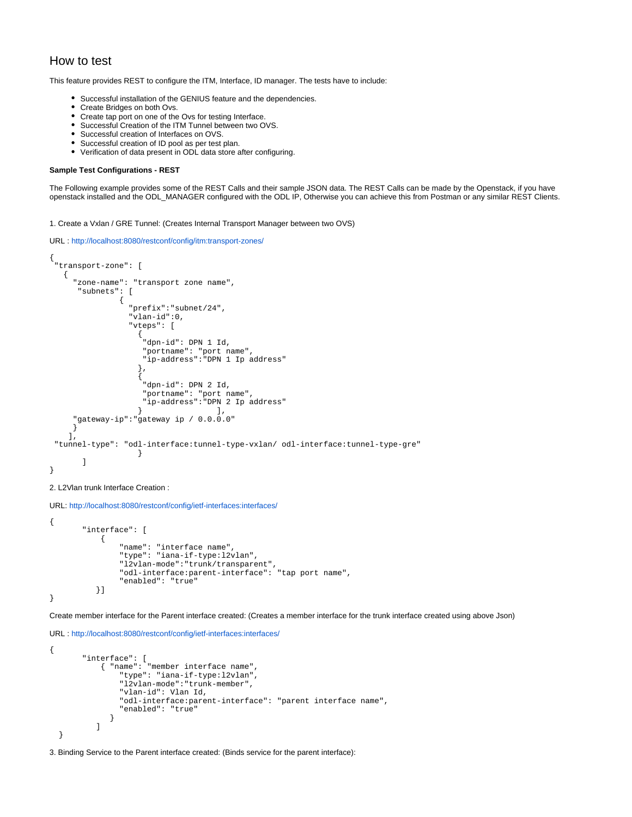#### How to test

This feature provides REST to configure the ITM, Interface, ID manager. The tests have to include:

- Successful installation of the GENIUS feature and the dependencies.
- Create Bridges on both Ovs.
- Create tap port on one of the Ovs for testing Interface.
- Successful Creation of the ITM Tunnel between two OVS.  $\bullet$
- Successful creation of Interfaces on OVS.
- Successful creation of ID pool as per test plan.
- Verification of data present in ODL data store after configuring.

#### **Sample Test Configurations - REST**

The Following example provides some of the REST Calls and their sample JSON data. The REST Calls can be made by the Openstack, if you have openstack installed and the ODL\_MANAGER configured with the ODL IP, Otherwise you can achieve this from Postman or any similar REST Clients.

1. Create a Vxlan / GRE Tunnel: (Creates Internal Transport Manager between two OVS)

```
URL : http://localhost:8080/restconf/config/itm:transport-zones/
```

```
{
  "transport-zone": [
   {
     "zone-name": "transport zone name",
      "subnets": [
{
                  "prefix":"subnet/24",
                  "vlan-id":0,
                  "vteps": [
\{ "dpn-id": DPN 1 Id,
                     "portname": "port name",
                    "ip-address":"DPN 1 Ip address"
, where \{ \} , we have \{ \} , we have \{ \} ,
\{ "dpn-id": DPN 2 Id,
                     "portname": "port name",
                    "ip-address":"DPN 2 Ip address"
, and the contract of \} , and the contract of \} "gateway-ip":"gateway ip / 0.0.0.0"
     }
   \overline{1},
  "tunnel-type": "odl-interface:tunnel-type-vxlan/ odl-interface:tunnel-type-gre"
 }
[1] [1] [1]
}
```

```
2. L2Vlan trunk Interface Creation :
```

```
URL: http://localhost:8080/restconf/config/ietf-interfaces:interfaces/
{
        "interface": [
\{ "name": "interface name",
                "type": "iana-if-type:l2vlan",
 "l2vlan-mode":"trunk/transparent",
 "odl-interface:parent-interface": "tap port name",
                "enabled": "true"
           }]
}
```
Create member interface for the Parent interface created: (Creates a member interface for the trunk interface created using above Json)

```
URL : http://localhost:8080/restconf/config/ietf-interfaces:interfaces/
{
          "interface": [
              { "name": "member interface name",
                   "type": "iana-if-type:l2vlan",
                   "l2vlan-mode":"trunk-member",
                   "vlan-id": Vlan Id,
                   "odl-interface:parent-interface": "parent interface name",
                   "enabled": "true"
 }
            \begin{array}{c} \end{array} }
```
3. Binding Service to the Parent interface created: (Binds service for the parent interface):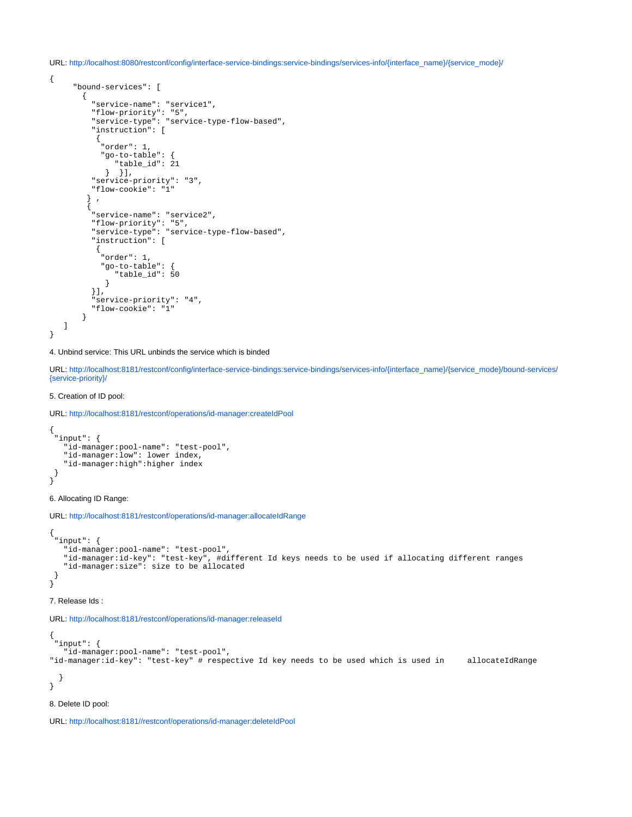URL: [http://localhost:8080/restconf/config/interface-service-bindings:service-bindings/services-info/{interface\\_name}/{service\\_mode}/](http://localhost:8080/restconf/config/interface-service-bindings:service-bindings/services-info/%7Binterface_name%7D/%7Bservice_mode%7D/)

```
{
        "bound-services": [
          {
             "service-name": "service1",
             "flow-priority": "5",
 "service-type": "service-type-flow-based",
 "instruction": [
\left\{ \begin{array}{ccc} 1 & 1 & 1 \\ 1 & 1 & 1 \end{array} \right\} "order": 1,
               "go-to-table": {
                  "table_id": 21
               } } ],
             "service-priority": "3",
             "flow-cookie": "1"
           } ,
\left\{ \begin{array}{ccc} 1 & 1 & 1 \\ 1 & 1 & 1 \end{array} \right\} "service-name": "service2",
             "flow-priority": "5",
             "service-type": "service-type-flow-based",
             "instruction": [
              {
                "order": 1,
                "go-to-table": {
                   "table_id": 50
                }
            \left| \cdot \right|. . .<br>'service-priority": "4",
             "flow-cookie": "1"
          }
    ]
}
```
4. Unbind service: This URL unbinds the service which is binded

URL: [http://localhost:8181/restconf/config/interface-service-bindings:service-bindings/services-info/{interface\\_name}/{service\\_mode}/bound-services/](http://localhost:8181/restconf/config/interface-service-bindings:service-bindings/services-info/%7Binterface_name%7D/%7Bservice_mode%7D/bound-services/%7Bservice-priority%7D/) [{service-priority}/](http://localhost:8181/restconf/config/interface-service-bindings:service-bindings/services-info/%7Binterface_name%7D/%7Bservice_mode%7D/bound-services/%7Bservice-priority%7D/)

#### 5. Creation of ID pool:

URL: <http://localhost:8181/restconf/operations/id-manager:createIdPool>

```
{
  "input": {
    "id-manager:pool-name": "test-pool",
    "id-manager:low": lower index,
    "id-manager:high":higher index
 }
}
```
6. Allocating ID Range:

URL: <http://localhost:8181/restconf/operations/id-manager:allocateIdRange>

```
{
 "input": {
    "id-manager:pool-name": "test-pool",
   "id-manager:id-key": "test-key", #different Id keys needs to be used if allocating different ranges
    "id-manager:size": size to be allocated
 }
}
```
#### 7. Release Ids :

URL: <http://localhost:8181/restconf/operations/id-manager:releaseId>

```
{
  "input": {
    "id-manager:pool-name": "test-pool",
"id-manager:id-key": "test-key" # respective Id key needs to be used which is used in allocateIdRange
  }
}
```
#### 8. Delete ID pool:

URL: <http://localhost:8181//restconf/operations/id-manager:deleteIdPool>